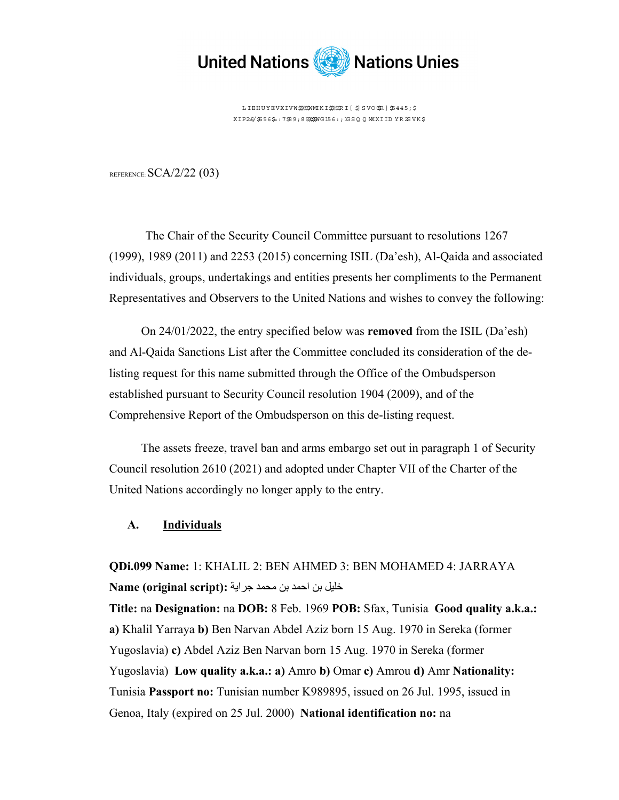

LIEHUYEVXIVW\$\$\$\$WMIKI\$\$\$RI[\$]SVOO\$R]\$5445;\$ XIP2\$/\$56\$=:7\$89;8\$\$\$\$NG156:;1GSQQMXXIIDYR2SVK\$

REFERENCE:  $SCA/2/22$  (03)

The Chair of the Security Council Committee pursuant to resolutions 1267 (1999), 1989 (2011) and 2253 (2015) concerning ISIL (Da'esh), Al-Qaida and associated individuals, groups, undertakings and entities presents her compliments to the Permanent Representatives and Observers to the United Nations and wishes to convey the following:

On 24/01/2022, the entry specified below was **removed** from the ISIL (Da'esh) and Al-Qaida Sanctions List after the Committee concluded its consideration of the delisting request for this name submitted through the Office of the Ombudsperson established pursuant to Security Council resolution 1904 (2009), and of the Comprehensive Report of the Ombudsperson on this de-listing request.

The assets freeze, travel ban and arms embargo set out in paragraph 1 of Security Council resolution 2610 (2021) and adopted under Chapter VII of the Charter of the United Nations accordingly no longer apply to the entry.

## **A. Individuals**

**QDi.099 Name:** 1: KHALIL 2: BEN AHMED 3: BEN MOHAMED 4: JARRAYA خليل بن احمد بن محمد جراية **:(script original (Name**

**Title:** na **Designation:** na **DOB:** 8 Feb. 1969 **POB:** Sfax, Tunisia **Good quality a.k.a.: a)** Khalil Yarraya **b)** Ben Narvan Abdel Aziz born 15 Aug. 1970 in Sereka (former Yugoslavia) **c)** Abdel Aziz Ben Narvan born 15 Aug. 1970 in Sereka (former Yugoslavia) **Low quality a.k.a.: a)** Amro **b)** Omar **c)** Amrou **d)** Amr **Nationality:**  Tunisia **Passport no:** Tunisian number K989895, issued on 26 Jul. 1995, issued in Genoa, Italy (expired on 25 Jul. 2000) **National identification no:** na